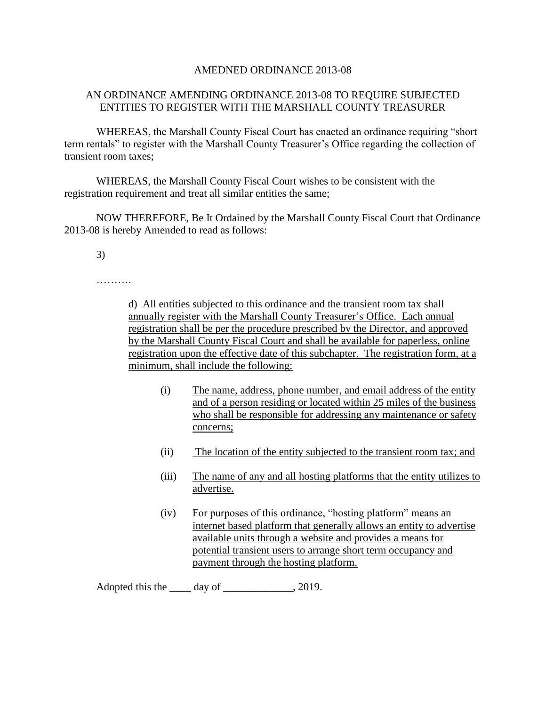## AMEDNED ORDINANCE 2013-08

## AN ORDINANCE AMENDING ORDINANCE 2013-08 TO REQUIRE SUBJECTED ENTITIES TO REGISTER WITH THE MARSHALL COUNTY TREASURER

WHEREAS, the Marshall County Fiscal Court has enacted an ordinance requiring "short term rentals" to register with the Marshall County Treasurer's Office regarding the collection of transient room taxes;

WHEREAS, the Marshall County Fiscal Court wishes to be consistent with the registration requirement and treat all similar entities the same;

NOW THEREFORE, Be It Ordained by the Marshall County Fiscal Court that Ordinance 2013-08 is hereby Amended to read as follows:

3)

………

d) All entities subjected to this ordinance and the transient room tax shall annually register with the Marshall County Treasurer's Office. Each annual registration shall be per the procedure prescribed by the Director, and approved by the Marshall County Fiscal Court and shall be available for paperless, online registration upon the effective date of this subchapter. The registration form, at a minimum, shall include the following:

- (i) The name, address, phone number, and email address of the entity and of a person residing or located within 25 miles of the business who shall be responsible for addressing any maintenance or safety concerns;
- (ii) The location of the entity subjected to the transient room tax; and
- (iii) The name of any and all hosting platforms that the entity utilizes to advertise.
- (iv) For purposes of this ordinance, "hosting platform" means an internet based platform that generally allows an entity to advertise available units through a website and provides a means for potential transient users to arrange short term occupancy and payment through the hosting platform.

Adopted this the day of \_\_\_\_\_\_\_\_\_\_\_\_\_, 2019.